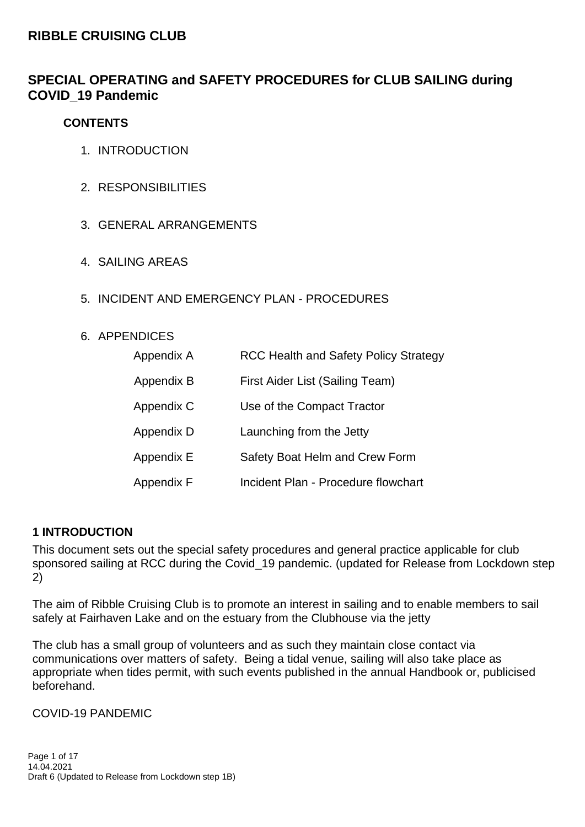## **RIBBLE CRUISING CLUB**

## **SPECIAL OPERATING and SAFETY PROCEDURES for CLUB SAILING during COVID\_19 Pandemic**

### **CONTENTS**

- 1. INTRODUCTION
- 2. RESPONSIBILITIES
- 3. GENERAL ARRANGEMENTS
- 4. SAILING AREAS
- 5. INCIDENT AND EMERGENCY PLAN PROCEDURES

#### 6. APPENDICES

| Appendix A | <b>RCC Health and Safety Policy Strategy</b> |  |
|------------|----------------------------------------------|--|
| Appendix B | First Aider List (Sailing Team)              |  |
| Appendix C | Use of the Compact Tractor                   |  |
| Appendix D | Launching from the Jetty                     |  |
| Appendix E | Safety Boat Helm and Crew Form               |  |
| Appendix F | Incident Plan - Procedure flowchart          |  |

## **1 INTRODUCTION**

This document sets out the special safety procedures and general practice applicable for club sponsored sailing at RCC during the Covid 19 pandemic. (updated for Release from Lockdown step 2)

The aim of Ribble Cruising Club is to promote an interest in sailing and to enable members to sail safely at Fairhaven Lake and on the estuary from the Clubhouse via the jetty

The club has a small group of volunteers and as such they maintain close contact via communications over matters of safety. Being a tidal venue, sailing will also take place as appropriate when tides permit, with such events published in the annual Handbook or, publicised beforehand.

COVID-19 PANDEMIC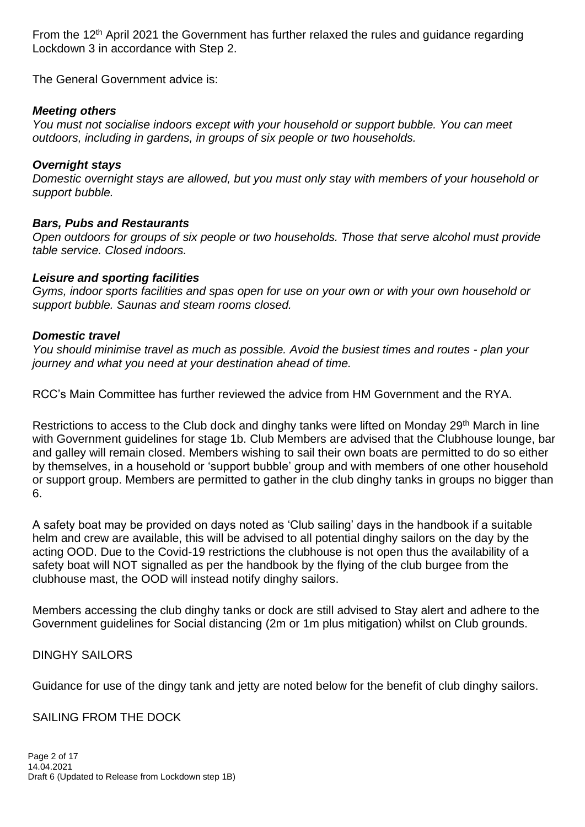From the 12<sup>th</sup> April 2021 the Government has further relaxed the rules and quidance regarding Lockdown 3 in accordance with Step 2.

The General Government advice is:

### *Meeting others*

*You must not socialise indoors except with your household or support bubble. You can meet outdoors, including in gardens, in groups of six people or two households.*

#### *Overnight stays*

*Domestic overnight stays are allowed, but you must only stay with members of your household or support bubble.*

#### *Bars, Pubs and Restaurants*

*Open outdoors for groups of six people or two households. Those that serve alcohol must provide table service. Closed indoors.*

#### *Leisure and sporting facilities*

*Gyms, indoor sports facilities and spas open for use on your own or with your own household or support bubble. Saunas and steam rooms closed.*

#### *Domestic travel*

*You should minimise travel as much as possible. Avoid the busiest times and routes - plan your journey and what you need at your destination ahead of time.*

RCC's Main Committee has further reviewed the advice from HM Government and the RYA.

Restrictions to access to the Club dock and dinghy tanks were lifted on Monday 29<sup>th</sup> March in line with Government guidelines for stage 1b. Club Members are advised that the Clubhouse lounge, bar and galley will remain closed. Members wishing to sail their own boats are permitted to do so either by themselves, in a household or 'support bubble' group and with members of one other household or support group. Members are permitted to gather in the club dinghy tanks in groups no bigger than 6.

A safety boat may be provided on days noted as 'Club sailing' days in the handbook if a suitable helm and crew are available, this will be advised to all potential dinghy sailors on the day by the acting OOD. Due to the Covid-19 restrictions the clubhouse is not open thus the availability of a safety boat will NOT signalled as per the handbook by the flying of the club burgee from the clubhouse mast, the OOD will instead notify dinghy sailors.

Members accessing the club dinghy tanks or dock are still advised to Stay alert and adhere to the Government guidelines for Social distancing (2m or 1m plus mitigation) whilst on Club grounds.

#### DINGHY SAILORS

Guidance for use of the dingy tank and jetty are noted below for the benefit of club dinghy sailors.

#### SAILING FROM THE DOCK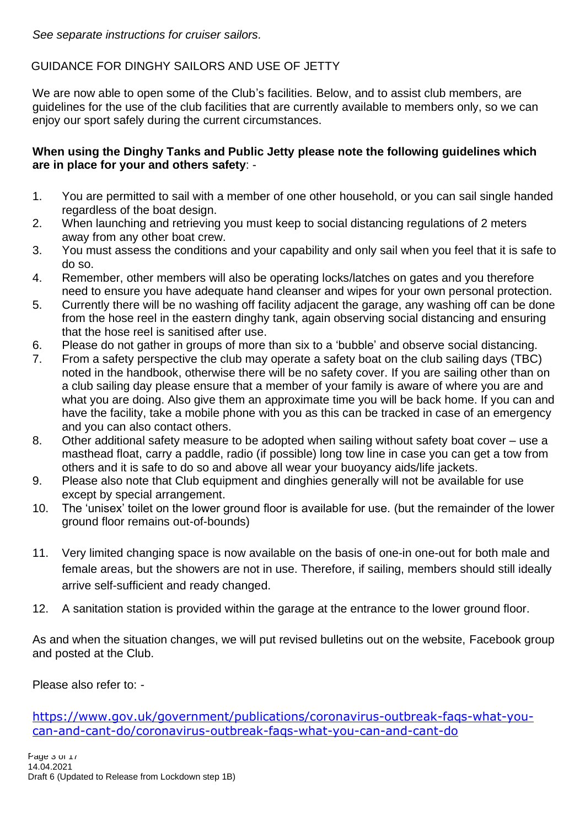## GUIDANCE FOR DINGHY SAILORS AND USE OF JETTY

We are now able to open some of the Club's facilities. Below, and to assist club members, are guidelines for the use of the club facilities that are currently available to members only, so we can enjoy our sport safely during the current circumstances.

### **When using the Dinghy Tanks and Public Jetty please note the following guidelines which are in place for your and others safety**: -

- 1. You are permitted to sail with a member of one other household, or you can sail single handed regardless of the boat design.
- 2. When launching and retrieving you must keep to social distancing regulations of 2 meters away from any other boat crew.
- 3. You must assess the conditions and your capability and only sail when you feel that it is safe to do so.
- 4. Remember, other members will also be operating locks/latches on gates and you therefore need to ensure you have adequate hand cleanser and wipes for your own personal protection.
- 5. Currently there will be no washing off facility adjacent the garage, any washing off can be done from the hose reel in the eastern dinghy tank, again observing social distancing and ensuring that the hose reel is sanitised after use.
- 6. Please do not gather in groups of more than six to a 'bubble' and observe social distancing.
- 7. From a safety perspective the club may operate a safety boat on the club sailing days (TBC) noted in the handbook, otherwise there will be no safety cover. If you are sailing other than on a club sailing day please ensure that a member of your family is aware of where you are and what you are doing. Also give them an approximate time you will be back home. If you can and have the facility, take a mobile phone with you as this can be tracked in case of an emergency and you can also contact others.
- 8. Other additional safety measure to be adopted when sailing without safety boat cover use a masthead float, carry a paddle, radio (if possible) long tow line in case you can get a tow from others and it is safe to do so and above all wear your buoyancy aids/life jackets.
- 9. Please also note that Club equipment and dinghies generally will not be available for use except by special arrangement.
- 10. The 'unisex' toilet on the lower ground floor is available for use. (but the remainder of the lower ground floor remains out-of-bounds)
- 11. Very limited changing space is now available on the basis of one-in one-out for both male and female areas, but the showers are not in use. Therefore, if sailing, members should still ideally arrive self-sufficient and ready changed.
- 12. A sanitation station is provided within the garage at the entrance to the lower ground floor.

As and when the situation changes, we will put revised bulletins out on the website, Facebook group and posted at the Club.

Please also refer to: -

[https://www.gov.uk/government/publications/coronavirus-outbreak-faqs-what-you](https://www.gov.uk/government/publications/coronavirus-outbreak-faqs-what-you-can-and-cant-do/coronavirus-outbreak-faqs-what-you-can-and-cant-do)[can-and-cant-do/coronavirus-outbreak-faqs-what-you-can-and-cant-do](https://www.gov.uk/government/publications/coronavirus-outbreak-faqs-what-you-can-and-cant-do/coronavirus-outbreak-faqs-what-you-can-and-cant-do)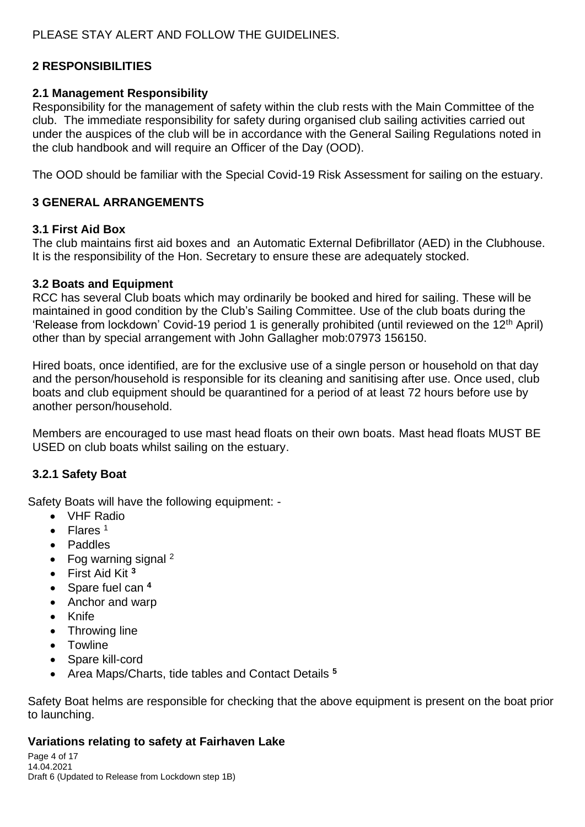## **2 RESPONSIBILITIES**

#### **2.1 Management Responsibility**

Responsibility for the management of safety within the club rests with the Main Committee of the club. The immediate responsibility for safety during organised club sailing activities carried out under the auspices of the club will be in accordance with the General Sailing Regulations noted in the club handbook and will require an Officer of the Day (OOD).

The OOD should be familiar with the Special Covid-19 Risk Assessment for sailing on the estuary.

### **3 GENERAL ARRANGEMENTS**

#### **3.1 First Aid Box**

The club maintains first aid boxes and an Automatic External Defibrillator (AED) in the Clubhouse. It is the responsibility of the Hon. Secretary to ensure these are adequately stocked.

#### **3.2 Boats and Equipment**

RCC has several Club boats which may ordinarily be booked and hired for sailing. These will be maintained in good condition by the Club's Sailing Committee. Use of the club boats during the 'Release from lockdown' Covid-19 period 1 is generally prohibited (until reviewed on the 12<sup>th</sup> April) other than by special arrangement with John Gallagher mob:07973 156150.

Hired boats, once identified, are for the exclusive use of a single person or household on that day and the person/household is responsible for its cleaning and sanitising after use. Once used, club boats and club equipment should be quarantined for a period of at least 72 hours before use by another person/household.

Members are encouraged to use mast head floats on their own boats. Mast head floats MUST BE USED on club boats whilst sailing on the estuary.

#### **3.2.1 Safety Boat**

Safety Boats will have the following equipment: -

- VHF Radio
- Flares<sup>1</sup>
- Paddles
- Fog warning signal  $2$
- First Aid Kit **<sup>3</sup>**
- Spare fuel can **<sup>4</sup>**
- Anchor and warp
- Knife
- Throwing line
- Towline
- Spare kill-cord
- Area Maps/Charts, tide tables and Contact Details **<sup>5</sup>**

Safety Boat helms are responsible for checking that the above equipment is present on the boat prior to launching.

#### **Variations relating to safety at Fairhaven Lake**

Page 4 of 17 14.04.2021 Draft 6 (Updated to Release from Lockdown step 1B)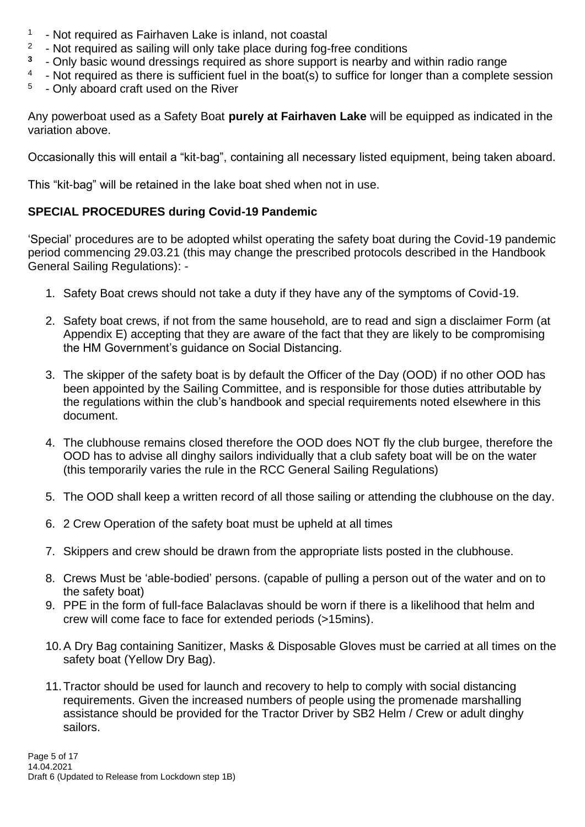- 1 - Not required as Fairhaven Lake is inland, not coastal
- 2 - Not required as sailing will only take place during fog-free conditions
- **3** - Only basic wound dressings required as shore support is nearby and within radio range
- 4 - Not required as there is sufficient fuel in the boat(s) to suffice for longer than a complete session
- 5 - Only aboard craft used on the River

Any powerboat used as a Safety Boat **purely at Fairhaven Lake** will be equipped as indicated in the variation above.

Occasionally this will entail a "kit-bag", containing all necessary listed equipment, being taken aboard.

This "kit-bag" will be retained in the lake boat shed when not in use.

## **SPECIAL PROCEDURES during Covid-19 Pandemic**

'Special' procedures are to be adopted whilst operating the safety boat during the Covid-19 pandemic period commencing 29.03.21 (this may change the prescribed protocols described in the Handbook General Sailing Regulations): -

- 1. Safety Boat crews should not take a duty if they have any of the symptoms of Covid-19.
- 2. Safety boat crews, if not from the same household, are to read and sign a disclaimer Form (at Appendix E) accepting that they are aware of the fact that they are likely to be compromising the HM Government's guidance on Social Distancing.
- 3. The skipper of the safety boat is by default the Officer of the Day (OOD) if no other OOD has been appointed by the Sailing Committee, and is responsible for those duties attributable by the regulations within the club's handbook and special requirements noted elsewhere in this document.
- 4. The clubhouse remains closed therefore the OOD does NOT fly the club burgee, therefore the OOD has to advise all dinghy sailors individually that a club safety boat will be on the water (this temporarily varies the rule in the RCC General Sailing Regulations)
- 5. The OOD shall keep a written record of all those sailing or attending the clubhouse on the day.
- 6. 2 Crew Operation of the safety boat must be upheld at all times
- 7. Skippers and crew should be drawn from the appropriate lists posted in the clubhouse.
- 8. Crews Must be 'able-bodied' persons. (capable of pulling a person out of the water and on to the safety boat)
- 9. PPE in the form of full-face Balaclavas should be worn if there is a likelihood that helm and crew will come face to face for extended periods (>15mins).
- 10.A Dry Bag containing Sanitizer, Masks & Disposable Gloves must be carried at all times on the safety boat (Yellow Dry Bag).
- 11.Tractor should be used for launch and recovery to help to comply with social distancing requirements. Given the increased numbers of people using the promenade marshalling assistance should be provided for the Tractor Driver by SB2 Helm / Crew or adult dinghy sailors.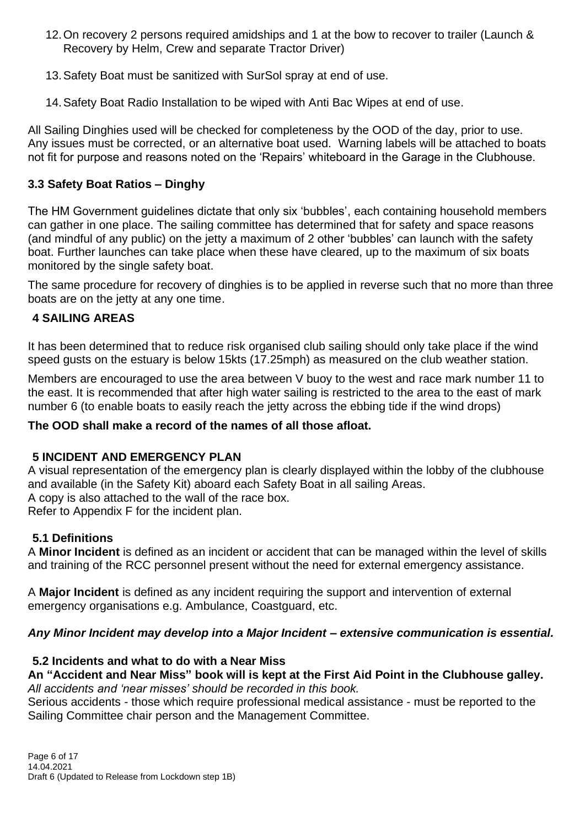- 12.On recovery 2 persons required amidships and 1 at the bow to recover to trailer (Launch & Recovery by Helm, Crew and separate Tractor Driver)
- 13.Safety Boat must be sanitized with SurSol spray at end of use.
- 14.Safety Boat Radio Installation to be wiped with Anti Bac Wipes at end of use.

All Sailing Dinghies used will be checked for completeness by the OOD of the day, prior to use. Any issues must be corrected, or an alternative boat used. Warning labels will be attached to boats not fit for purpose and reasons noted on the 'Repairs' whiteboard in the Garage in the Clubhouse.

## **3.3 Safety Boat Ratios – Dinghy**

The HM Government guidelines dictate that only six 'bubbles', each containing household members can gather in one place. The sailing committee has determined that for safety and space reasons (and mindful of any public) on the jetty a maximum of 2 other 'bubbles' can launch with the safety boat. Further launches can take place when these have cleared, up to the maximum of six boats monitored by the single safety boat.

The same procedure for recovery of dinghies is to be applied in reverse such that no more than three boats are on the jetty at any one time.

## **4 SAILING AREAS**

It has been determined that to reduce risk organised club sailing should only take place if the wind speed gusts on the estuary is below 15kts (17.25mph) as measured on the club weather station.

Members are encouraged to use the area between V buoy to the west and race mark number 11 to the east. It is recommended that after high water sailing is restricted to the area to the east of mark number 6 (to enable boats to easily reach the jetty across the ebbing tide if the wind drops)

## **The OOD shall make a record of the names of all those afloat.**

## **5 INCIDENT AND EMERGENCY PLAN**

A visual representation of the emergency plan is clearly displayed within the lobby of the clubhouse and available (in the Safety Kit) aboard each Safety Boat in all sailing Areas. A copy is also attached to the wall of the race box. Refer to Appendix F for the incident plan.

## **5.1 Definitions**

A **Minor Incident** is defined as an incident or accident that can be managed within the level of skills and training of the RCC personnel present without the need for external emergency assistance.

A **Major Incident** is defined as any incident requiring the support and intervention of external emergency organisations e.g. Ambulance, Coastguard, etc.

## *Any Minor Incident may develop into a Major Incident – extensive communication is essential.*

## **5.2 Incidents and what to do with a Near Miss**

### **An "Accident and Near Miss" book will is kept at the First Aid Point in the Clubhouse galley.** *All accidents and 'near misses' should be recorded in this book.*

Serious accidents - those which require professional medical assistance - must be reported to the Sailing Committee chair person and the Management Committee.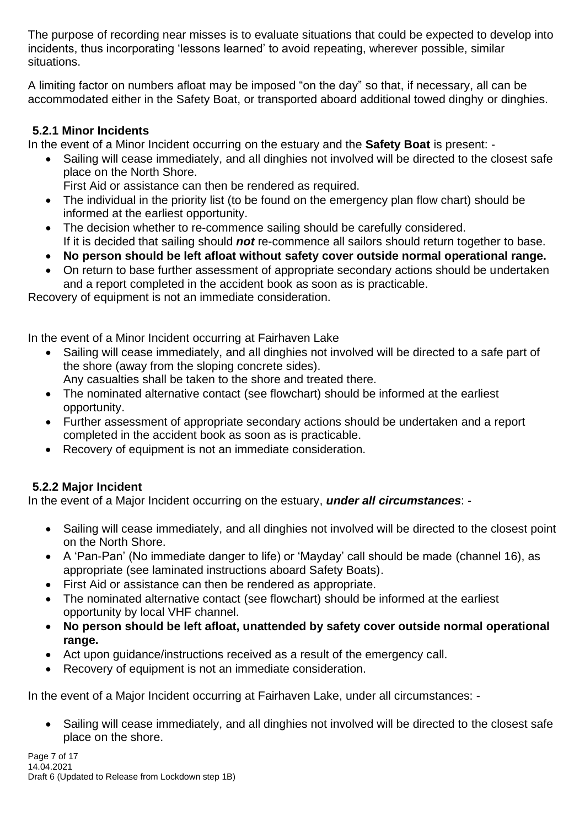The purpose of recording near misses is to evaluate situations that could be expected to develop into incidents, thus incorporating 'lessons learned' to avoid repeating, wherever possible, similar situations.

A limiting factor on numbers afloat may be imposed "on the day" so that, if necessary, all can be accommodated either in the Safety Boat, or transported aboard additional towed dinghy or dinghies.

## **5.2.1 Minor Incidents**

In the event of a Minor Incident occurring on the estuary and the **Safety Boat** is present: -

• Sailing will cease immediately, and all dinghies not involved will be directed to the closest safe place on the North Shore.

First Aid or assistance can then be rendered as required.

- The individual in the priority list (to be found on the emergency plan flow chart) should be informed at the earliest opportunity.
- The decision whether to re-commence sailing should be carefully considered. If it is decided that sailing should *not* re-commence all sailors should return together to base.
- **No person should be left afloat without safety cover outside normal operational range.**
- On return to base further assessment of appropriate secondary actions should be undertaken and a report completed in the accident book as soon as is practicable.

Recovery of equipment is not an immediate consideration.

In the event of a Minor Incident occurring at Fairhaven Lake

- Sailing will cease immediately, and all dinghies not involved will be directed to a safe part of the shore (away from the sloping concrete sides).
	- Any casualties shall be taken to the shore and treated there.
- The nominated alternative contact (see flowchart) should be informed at the earliest opportunity.
- Further assessment of appropriate secondary actions should be undertaken and a report completed in the accident book as soon as is practicable.
- Recovery of equipment is not an immediate consideration.

## **5.2.2 Major Incident**

In the event of a Major Incident occurring on the estuary, *under all circumstances*: -

- Sailing will cease immediately, and all dinghies not involved will be directed to the closest point on the North Shore.
- A 'Pan-Pan' (No immediate danger to life) or 'Mayday' call should be made (channel 16), as appropriate (see laminated instructions aboard Safety Boats).
- First Aid or assistance can then be rendered as appropriate.
- The nominated alternative contact (see flowchart) should be informed at the earliest opportunity by local VHF channel.
- **No person should be left afloat, unattended by safety cover outside normal operational range.**
- Act upon guidance/instructions received as a result of the emergency call.
- Recovery of equipment is not an immediate consideration.

In the event of a Major Incident occurring at Fairhaven Lake, under all circumstances: -

• Sailing will cease immediately, and all dinghies not involved will be directed to the closest safe place on the shore.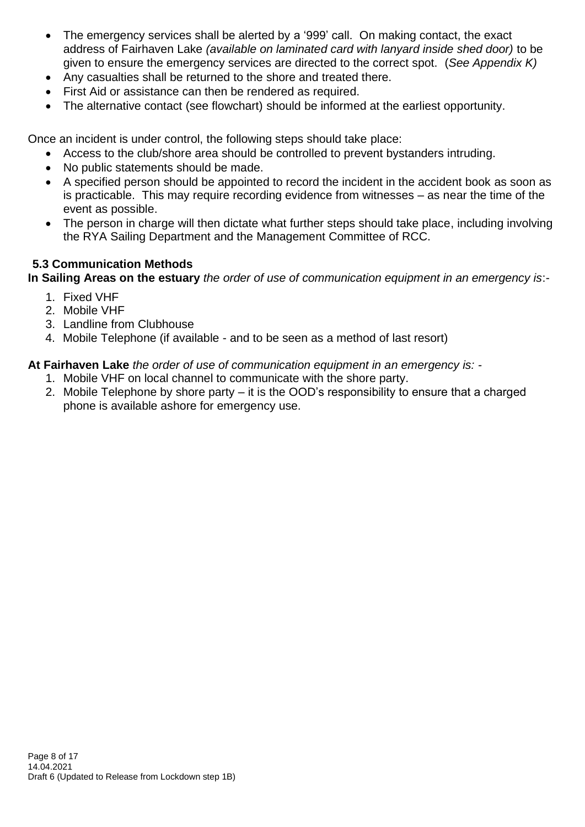- The emergency services shall be alerted by a '999' call. On making contact, the exact address of Fairhaven Lake *(available on laminated card with lanyard inside shed door)* to be given to ensure the emergency services are directed to the correct spot. (*See Appendix K)*
- Any casualties shall be returned to the shore and treated there.
- First Aid or assistance can then be rendered as required.
- The alternative contact (see flowchart) should be informed at the earliest opportunity.

Once an incident is under control, the following steps should take place:

- Access to the club/shore area should be controlled to prevent bystanders intruding.
- No public statements should be made.
- A specified person should be appointed to record the incident in the accident book as soon as is practicable. This may require recording evidence from witnesses – as near the time of the event as possible.
- The person in charge will then dictate what further steps should take place, including involving the RYA Sailing Department and the Management Committee of RCC.

## **5.3 Communication Methods**

**In Sailing Areas on the estuary** *the order of use of communication equipment in an emergency is*:-

- 1. Fixed VHF
- 2. Mobile VHF
- 3. Landline from Clubhouse
- 4. Mobile Telephone (if available and to be seen as a method of last resort)

**At Fairhaven Lake** *the order of use of communication equipment in an emergency is: -*

- 1. Mobile VHF on local channel to communicate with the shore party.
- 2. Mobile Telephone by shore party it is the OOD's responsibility to ensure that a charged phone is available ashore for emergency use.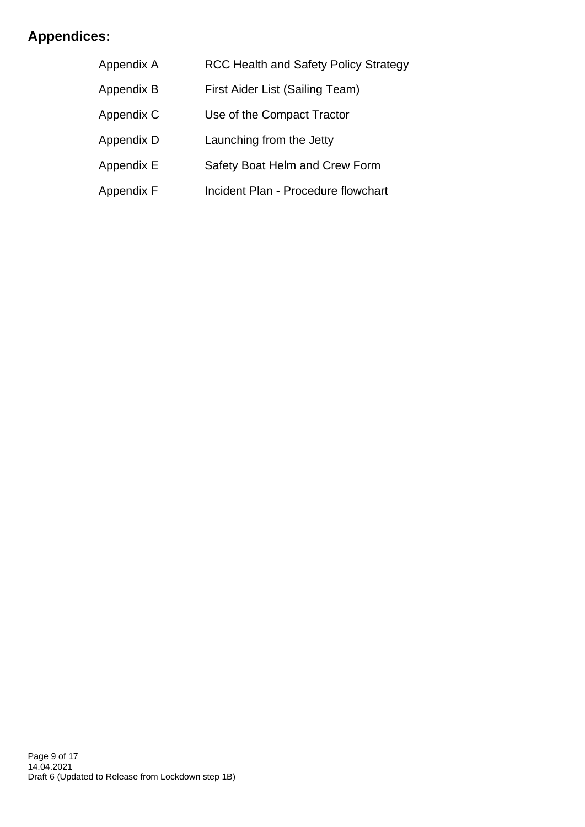# **Appendices:**

| Appendix A | <b>RCC Health and Safety Policy Strategy</b> |  |
|------------|----------------------------------------------|--|
| Appendix B | First Aider List (Sailing Team)              |  |
| Appendix C | Use of the Compact Tractor                   |  |
| Appendix D | Launching from the Jetty                     |  |
| Appendix E | Safety Boat Helm and Crew Form               |  |
| Appendix F | Incident Plan - Procedure flowchart          |  |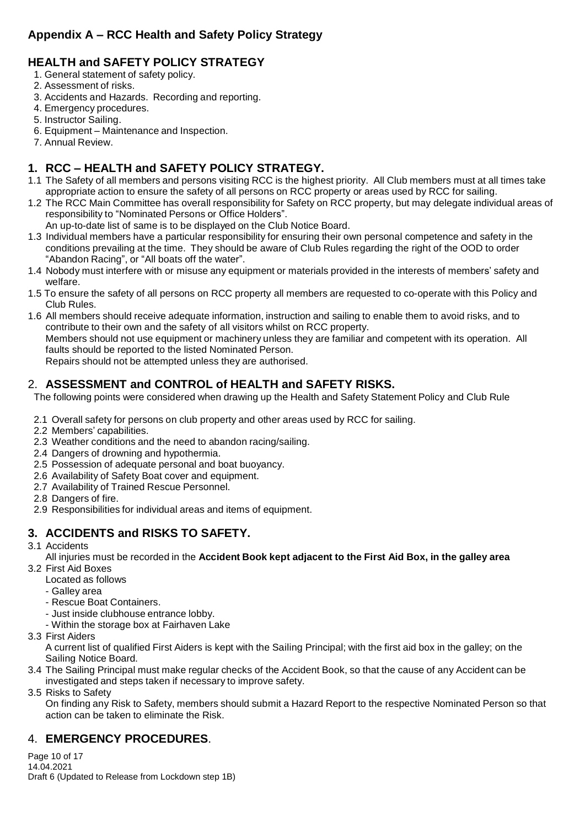## **Appendix A – RCC Health and Safety Policy Strategy**

## **HEALTH and SAFETY POLICY STRATEGY**

- 1. General statement of safety policy.
- 2. Assessment of risks.
- 3. Accidents and Hazards. Recording and reporting.
- 4. Emergency procedures.
- 5. Instructor Sailing.
- 6. Equipment Maintenanceand Inspection.
- 7. Annual Review.

## **1. RCC – HEALTH and SAFETY POLICY STRATEGY.**

- 1.1 The Safety of all members and persons visiting RCC is the highest priority. All Club members must at all times take appropriate action to ensure the safety of all persons on RCC property or areas used by RCC for sailing.
- 1.2 The RCC Main Committee has overall responsibility for Safety on RCC property, but may delegate individual areas of responsibility to "Nominated Persons or Office Holders".
- An up-to-date list of same is to be displayed on the Club Notice Board.
- 1.3 Individual members have a particular responsibility for ensuring their own personal competence and safety in the conditions prevailing at the time. They should be aware of Club Rules regarding the right of the OOD to order "Abandon Racing", or "All boats off the water".
- 1.4 Nobody must interfere with or misuse any equipment or materials provided in the interests of members' safety and welfare.
- 1.5 To ensure the safety of all persons on RCC property all members are requested to co-operate with this Policy and Club Rules.
- 1.6 All members should receive adequate information, instruction and sailing to enable them to avoid risks, and to contribute to their own and the safety of all visitors whilst on RCC property. Members should not use equipment or machinery unless they are familiar and competent with its operation. All faults should be reported to the listed Nominated Person.

Repairs should not be attempted unless they are authorised.

## 2. **ASSESSMENT and CONTROL of HEALTH and SAFETY RISKS.**

The following points were considered when drawing up the Health and Safety Statement Policy and Club Rule

- 2.1 Overall safety for persons on club property and other areas used by RCC for sailing.
- 2.2 Members' capabilities.
- 2.3 Weather conditions and the need to abandon racing/sailing.
- 2.4 Dangers of drowning and hypothermia.
- 2.5 Possession of adequate personal and boat buoyancy.
- 2.6 Availability of Safety Boat cover and equipment.
- 2.7 Availability of Trained Rescue Personnel.
- 2.8 Dangers of fire.
- 2.9 Responsibilities for individual areas and items of equipment.

## **3. ACCIDENTS and RISKS TO SAFETY.**

#### 3.1 Accidents

All injuries must be recorded in the **Accident Book kept adjacent to the First Aid Box, in the galley area** 3.2 First Aid Boxes

- Located as follows
	- Galley area
	- Rescue Boat Containers.
	- Just inside clubhouse entrance lobby.
	- Within the storage box at Fairhaven Lake
- 3.3 First Aiders
	- A current list of qualified First Aiders is kept with the Sailing Principal; with the first aid box in the galley; on the Sailing Notice Board.
- 3.4 The Sailing Principal must make regular checks of the Accident Book, so that the cause of any Accident can be investigated and steps taken if necessary to improve safety.

3.5 Risks to Safety

On finding any Risk to Safety, members should submit a Hazard Report to the respective Nominated Person so that action can be taken to eliminate the Risk.

## 4. **EMERGENCY PROCEDURES**.

Page 10 of 17 14.04.2021 Draft 6 (Updated to Release from Lockdown step 1B)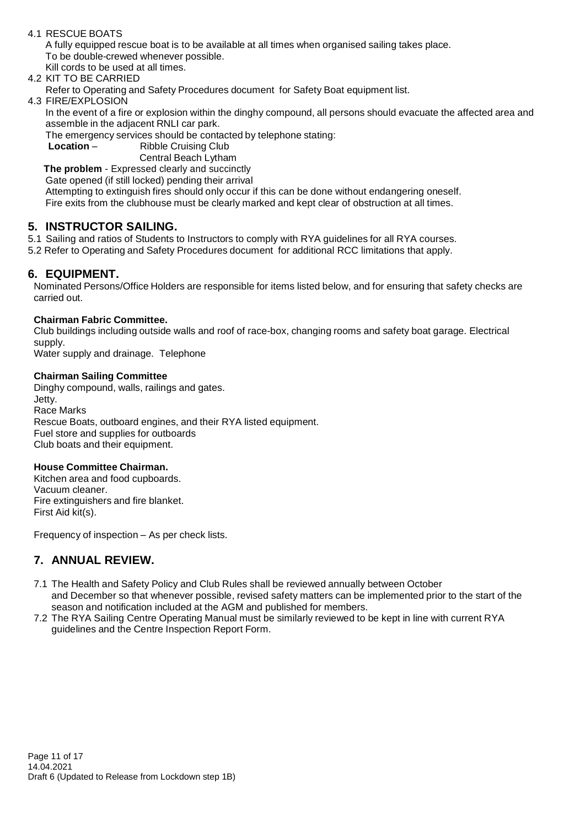#### 4.1 RESCUE BOATS

A fully equipped rescue boat is to be available at all times when organised sailing takes place. To be double-crewed whenever possible.

Kill cords to be used at all times.

4.2 KIT TO BE CARRIED

Refer to Operating and Safety Procedures document for Safety Boat equipment list.

4.3 FIRE/EXPLOSION

In the event of a fire or explosion within the dinghy compound, all persons should evacuate the affected area and assemble in the adjacent RNLI car park.

The emergency services should be contacted by telephone stating:

**Location** – Ribble Cruising Club

Central Beach Lytham

**The problem** - Expressed clearly and succinctly

Gate opened (if still locked) pending their arrival

Attempting to extinguish fires should only occur if this can be done without endangering oneself. Fire exits from the clubhouse must be clearly marked and kept clear of obstruction at all times.

#### **5. INSTRUCTOR SAILING.**

5.1 Sailing and ratios of Students to Instructors to comply with RYA guidelines for all RYA courses.

5.2 Refer to Operating and Safety Procedures document for additional RCC limitations that apply.

#### **6. EQUIPMENT.**

Nominated Persons/Office Holders are responsible for items listed below, and for ensuring that safety checks are carried out.

#### **Chairman Fabric Committee.**

Club buildings including outside walls and roof of race-box, changing rooms and safety boat garage. Electrical supply.

Water supply and drainage. Telephone

#### **Chairman Sailing Committee**

Dinghy compound, walls, railings and gates. Jetty. Race Marks Rescue Boats, outboard engines, and their RYA listed equipment. Fuel store and supplies for outboards Club boats and their equipment.

#### **House Committee Chairman.**

Kitchen area and food cupboards. Vacuum cleaner. Fire extinguishers and fire blanket. First Aid kit(s).

Frequency of inspection – As per check lists.

## **7. ANNUAL REVIEW.**

- 7.1 The Health and Safety Policy and Club Rules shall be reviewed annually between October and December so that whenever possible, revised safety matters can be implemented prior to the start of the season and notification included at the AGM and published for members.
- 7.2 The RYA Sailing Centre Operating Manual must be similarly reviewed to be kept in line with current RYA guidelines and the Centre Inspection Report Form.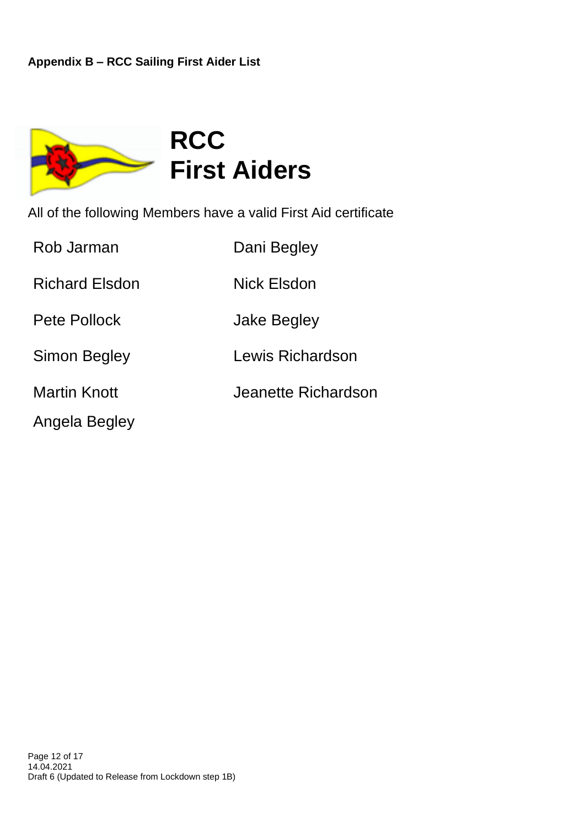

All of the following Members have a valid First Aid certificate

| Rob Jarman            | Dani Begley         |
|-----------------------|---------------------|
| <b>Richard Elsdon</b> | Nick Elsdon         |
| Pete Pollock          | Jake Begley         |
| Simon Begley          | Lewis Richardson    |
| <b>Martin Knott</b>   | Jeanette Richardson |
| Angela Begley         |                     |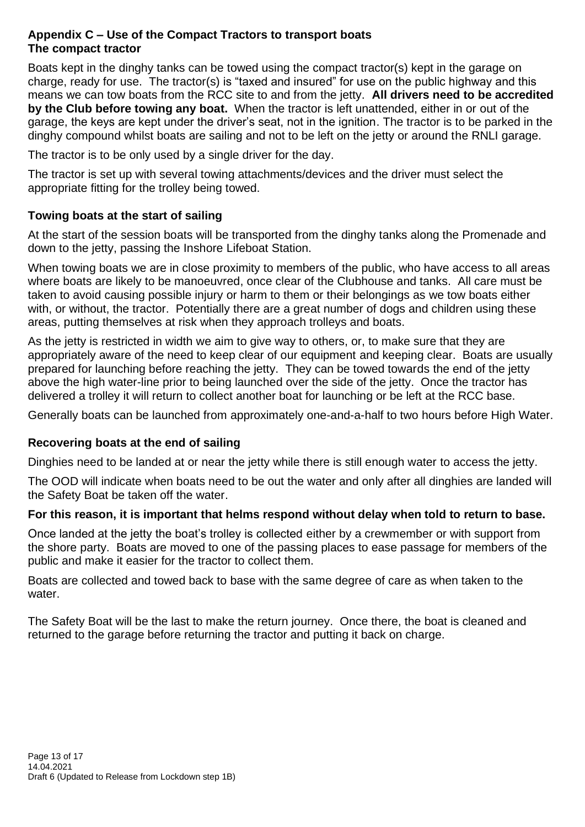## **Appendix C – Use of the Compact Tractors to transport boats The compact tractor**

Boats kept in the dinghy tanks can be towed using the compact tractor(s) kept in the garage on charge, ready for use. The tractor(s) is "taxed and insured" for use on the public highway and this means we can tow boats from the RCC site to and from the jetty. **All drivers need to be accredited by the Club before towing any boat.** When the tractor is left unattended, either in or out of the garage, the keys are kept under the driver's seat, not in the ignition. The tractor is to be parked in the dinghy compound whilst boats are sailing and not to be left on the jetty or around the RNLI garage.

The tractor is to be only used by a single driver for the day.

The tractor is set up with several towing attachments/devices and the driver must select the appropriate fitting for the trolley being towed.

## **Towing boats at the start of sailing**

At the start of the session boats will be transported from the dinghy tanks along the Promenade and down to the jetty, passing the Inshore Lifeboat Station.

When towing boats we are in close proximity to members of the public, who have access to all areas where boats are likely to be manoeuvred, once clear of the Clubhouse and tanks. All care must be taken to avoid causing possible injury or harm to them or their belongings as we tow boats either with, or without, the tractor. Potentially there are a great number of dogs and children using these areas, putting themselves at risk when they approach trolleys and boats.

As the jetty is restricted in width we aim to give way to others, or, to make sure that they are appropriately aware of the need to keep clear of our equipment and keeping clear. Boats are usually prepared for launching before reaching the jetty. They can be towed towards the end of the jetty above the high water-line prior to being launched over the side of the jetty. Once the tractor has delivered a trolley it will return to collect another boat for launching or be left at the RCC base.

Generally boats can be launched from approximately one-and-a-half to two hours before High Water.

## **Recovering boats at the end of sailing**

Dinghies need to be landed at or near the jetty while there is still enough water to access the jetty.

The OOD will indicate when boats need to be out the water and only after all dinghies are landed will the Safety Boat be taken off the water.

## **For this reason, it is important that helms respond without delay when told to return to base.**

Once landed at the jetty the boat's trolley is collected either by a crewmember or with support from the shore party. Boats are moved to one of the passing places to ease passage for members of the public and make it easier for the tractor to collect them.

Boats are collected and towed back to base with the same degree of care as when taken to the water.

The Safety Boat will be the last to make the return journey. Once there, the boat is cleaned and returned to the garage before returning the tractor and putting it back on charge.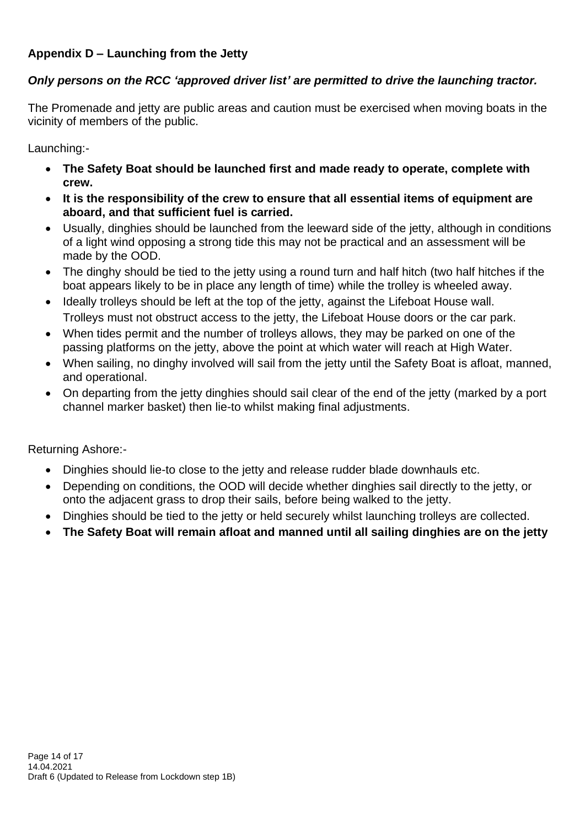## **Appendix D – Launching from the Jetty**

## *Only persons on the RCC 'approved driver list' are permitted to drive the launching tractor.*

The Promenade and jetty are public areas and caution must be exercised when moving boats in the vicinity of members of the public.

Launching:-

- **The Safety Boat should be launched first and made ready to operate, complete with crew.**
- **It is the responsibility of the crew to ensure that all essential items of equipment are aboard, and that sufficient fuel is carried.**
- Usually, dinghies should be launched from the leeward side of the jetty, although in conditions of a light wind opposing a strong tide this may not be practical and an assessment will be made by the OOD.
- The dinghy should be tied to the jetty using a round turn and half hitch (two half hitches if the boat appears likely to be in place any length of time) while the trolley is wheeled away.
- Ideally trolleys should be left at the top of the jetty, against the Lifeboat House wall. Trolleys must not obstruct access to the jetty, the Lifeboat House doors or the car park.
- When tides permit and the number of trolleys allows, they may be parked on one of the passing platforms on the jetty, above the point at which water will reach at High Water.
- When sailing, no dinghy involved will sail from the jetty until the Safety Boat is afloat, manned, and operational.
- On departing from the jetty dinghies should sail clear of the end of the jetty (marked by a port channel marker basket) then lie-to whilst making final adjustments.

Returning Ashore:-

- Dinghies should lie-to close to the jetty and release rudder blade downhauls etc.
- Depending on conditions, the OOD will decide whether dinghies sail directly to the jetty, or onto the adjacent grass to drop their sails, before being walked to the jetty.
- Dinghies should be tied to the jetty or held securely whilst launching trolleys are collected.
- **The Safety Boat will remain afloat and manned until all sailing dinghies are on the jetty**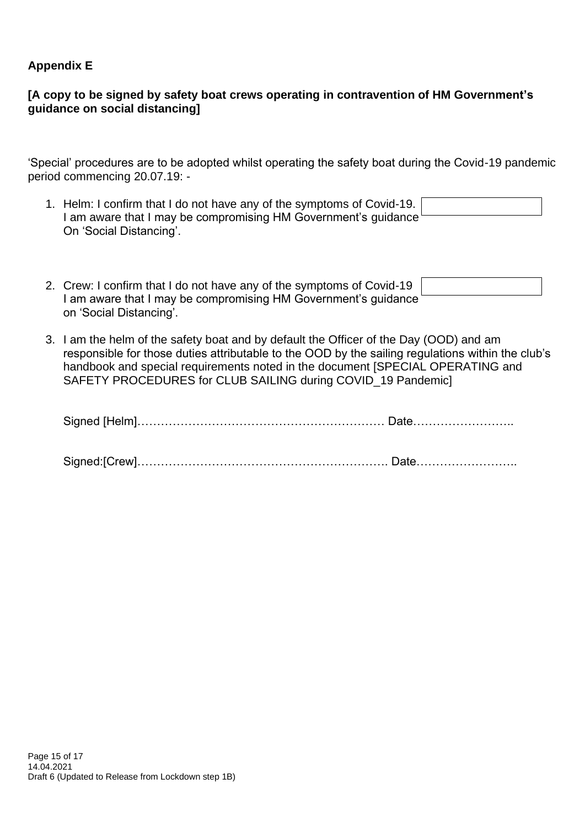## **Appendix E**

## **[A copy to be signed by safety boat crews operating in contravention of HM Government's guidance on social distancing]**

'Special' procedures are to be adopted whilst operating the safety boat during the Covid-19 pandemic period commencing 20.07.19: -

| 1. Helm: I confirm that I do not have any of the symptoms of Covid-19.<br>I am aware that I may be compromising HM Government's quidance |  |
|------------------------------------------------------------------------------------------------------------------------------------------|--|
|                                                                                                                                          |  |
|                                                                                                                                          |  |
|                                                                                                                                          |  |
|                                                                                                                                          |  |
| On 'Social Distancing'.                                                                                                                  |  |

| 2. Crew: I confirm that I do not have any of the symptoms of Covid-19 |  |
|-----------------------------------------------------------------------|--|
| I am aware that I may be compromising HM Government's guidance        |  |
| on 'Social Distancing'.                                               |  |

3. I am the helm of the safety boat and by default the Officer of the Day (OOD) and am responsible for those duties attributable to the OOD by the sailing regulations within the club's handbook and special requirements noted in the document [SPECIAL OPERATING and SAFETY PROCEDURES for CLUB SAILING during COVID\_19 Pandemic]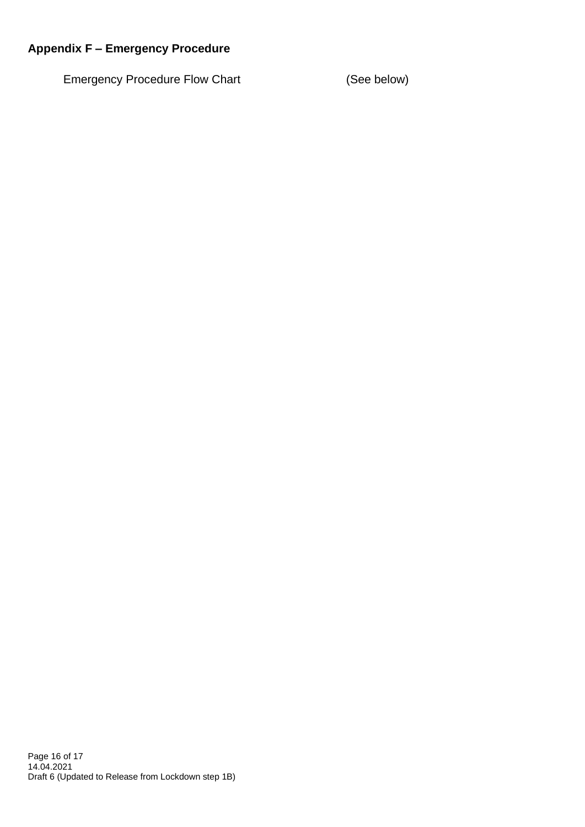## **Appendix F – Emergency Procedure**

Emergency Procedure Flow Chart (See below)